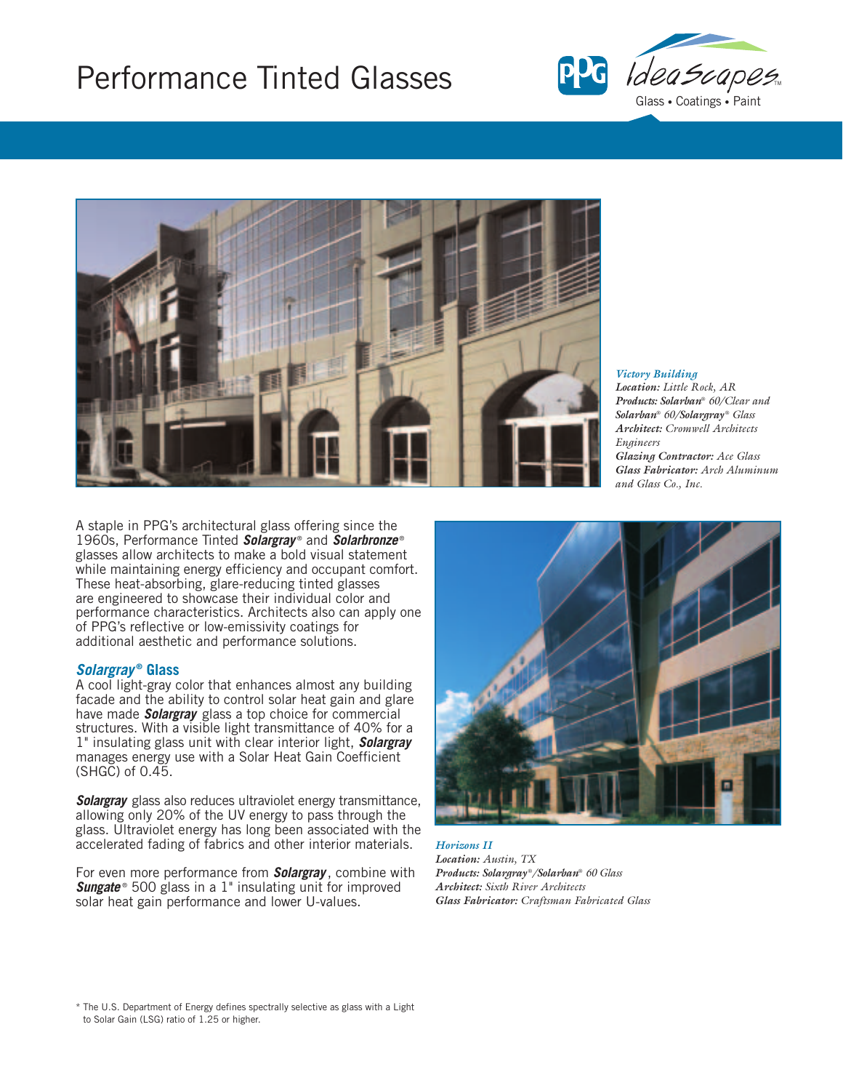# Performance Tinted Glasses





*Victory Building*

*Location: Little Rock, AR Products: Solarban*® *60/Clear and Solarban*® *60/Solargray* ® *Glass Architect: Cromwell Architects Engineers Glazing Contractor: Ace Glass Glass Fabricator: Arch Aluminum and Glass Co., Inc.*

A staple in PPG's architectural glass offering since the 1960s, Performance Tinted *Solargray* ® and *Solarbronze* ® glasses allow architects to make a bold visual statement while maintaining energy efficiency and occupant comfort. These heat-absorbing, glare-reducing tinted glasses are engineered to showcase their individual color and performance characteristics. Architects also can apply one of PPG's reflective or low-emissivity coatings for additional aesthetic and performance solutions.

## *Solargray* **® Glass**

A cool light-gray color that enhances almost any building facade and the ability to control solar heat gain and glare have made *Solargray* glass a top choice for commercial structures. With a visible light transmittance of 40% for a 1" insulating glass unit with clear interior light, *Solargray* manages energy use with a Solar Heat Gain Coefficient (SHGC) of 0.45.

*Solargray* glass also reduces ultraviolet energy transmittance, allowing only 20% of the UV energy to pass through the glass. Ultraviolet energy has long been associated with the accelerated fading of fabrics and other interior materials.

For even more performance from *Solargray* , combine with **Sungate**<sup>®</sup> 500 glass in a 1" insulating unit for improved solar heat gain performance and lower U-values.



*Horizons II Location: Austin, TX Products: Solargray* ®*/Solarban*® *60 Glass Architect: Sixth River Architects Glass Fabricator: Craftsman Fabricated Glass* 

\* The U.S. Department of Energy defines spectrally selective as glass with a Light to Solar Gain (LSG) ratio of 1.25 or higher.